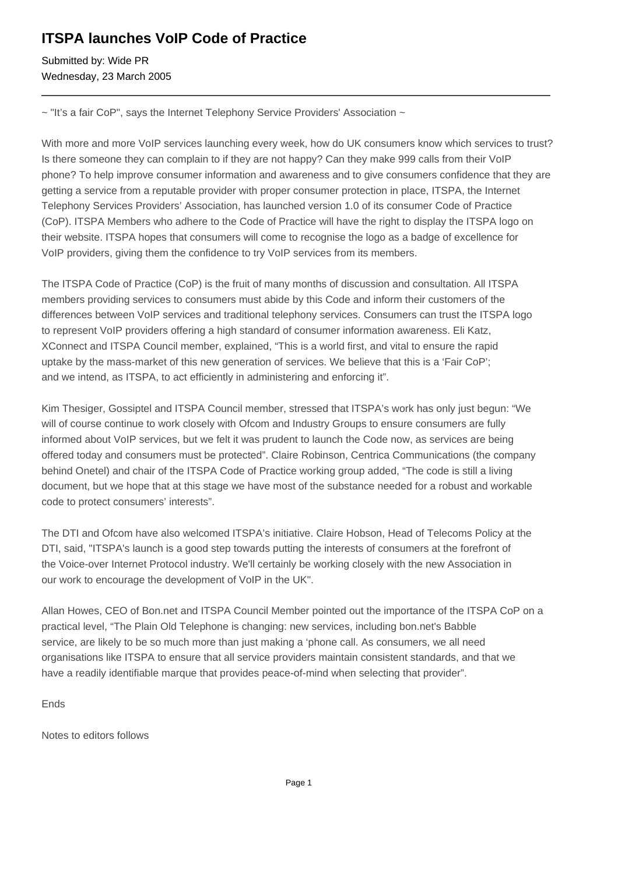# **ITSPA launches VoIP Code of Practice**

Submitted by: Wide PR Wednesday, 23 March 2005

~ "It's a fair CoP", says the Internet Telephony Service Providers' Association ~

With more and more VoIP services launching every week, how do UK consumers know which services to trust? Is there someone they can complain to if they are not happy? Can they make 999 calls from their VoIP phone? To help improve consumer information and awareness and to give consumers confidence that they are getting a service from a reputable provider with proper consumer protection in place, ITSPA, the Internet Telephony Services Providers' Association, has launched version 1.0 of its consumer Code of Practice (CoP). ITSPA Members who adhere to the Code of Practice will have the right to display the ITSPA logo on their website. ITSPA hopes that consumers will come to recognise the logo as a badge of excellence for VoIP providers, giving them the confidence to try VoIP services from its members.

The ITSPA Code of Practice (CoP) is the fruit of many months of discussion and consultation. All ITSPA members providing services to consumers must abide by this Code and inform their customers of the differences between VoIP services and traditional telephony services. Consumers can trust the ITSPA logo to represent VoIP providers offering a high standard of consumer information awareness. Eli Katz, XConnect and ITSPA Council member, explained, "This is a world first, and vital to ensure the rapid uptake by the mass-market of this new generation of services. We believe that this is a 'Fair CoP'; and we intend, as ITSPA, to act efficiently in administering and enforcing it".

Kim Thesiger, Gossiptel and ITSPA Council member, stressed that ITSPA's work has only just begun: "We will of course continue to work closely with Ofcom and Industry Groups to ensure consumers are fully informed about VoIP services, but we felt it was prudent to launch the Code now, as services are being offered today and consumers must be protected". Claire Robinson, Centrica Communications (the company behind Onetel) and chair of the ITSPA Code of Practice working group added, "The code is still a living document, but we hope that at this stage we have most of the substance needed for a robust and workable code to protect consumers' interests".

The DTI and Ofcom have also welcomed ITSPA's initiative. Claire Hobson, Head of Telecoms Policy at the DTI, said, "ITSPA's launch is a good step towards putting the interests of consumers at the forefront of the Voice-over Internet Protocol industry. We'll certainly be working closely with the new Association in our work to encourage the development of VoIP in the UK".

Allan Howes, CEO of Bon.net and ITSPA Council Member pointed out the importance of the ITSPA CoP on a practical level, "The Plain Old Telephone is changing: new services, including bon.net's Babble service, are likely to be so much more than just making a 'phone call. As consumers, we all need organisations like ITSPA to ensure that all service providers maintain consistent standards, and that we have a readily identifiable marque that provides peace-of-mind when selecting that provider".

Ends

Notes to editors follows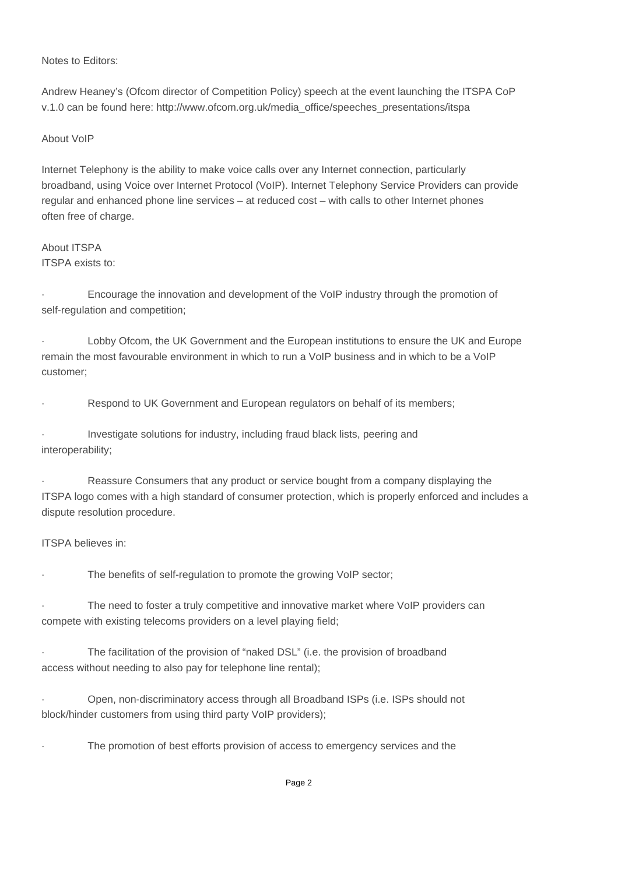# Notes to Editors:

Andrew Heaney's (Ofcom director of Competition Policy) speech at the event launching the ITSPA CoP v.1.0 can be found here: http://www.ofcom.org.uk/media\_office/speeches\_presentations/itspa

# About VoIP

Internet Telephony is the ability to make voice calls over any Internet connection, particularly broadband, using Voice over Internet Protocol (VoIP). Internet Telephony Service Providers can provide regular and enhanced phone line services – at reduced cost – with calls to other Internet phones often free of charge.

# About ITSPA ITSPA exists to:

· Encourage the innovation and development of the VoIP industry through the promotion of self-regulation and competition;

Lobby Ofcom, the UK Government and the European institutions to ensure the UK and Europe remain the most favourable environment in which to run a VoIP business and in which to be a VoIP customer;

Respond to UK Government and European regulators on behalf of its members;

Investigate solutions for industry, including fraud black lists, peering and interoperability;

Reassure Consumers that any product or service bought from a company displaying the ITSPA logo comes with a high standard of consumer protection, which is properly enforced and includes a dispute resolution procedure.

# ITSPA believes in:

The benefits of self-regulation to promote the growing VoIP sector;

The need to foster a truly competitive and innovative market where VoIP providers can compete with existing telecoms providers on a level playing field;

The facilitation of the provision of "naked DSL" (i.e. the provision of broadband access without needing to also pay for telephone line rental);

· Open, non-discriminatory access through all Broadband ISPs (i.e. ISPs should not block/hinder customers from using third party VoIP providers);

The promotion of best efforts provision of access to emergency services and the